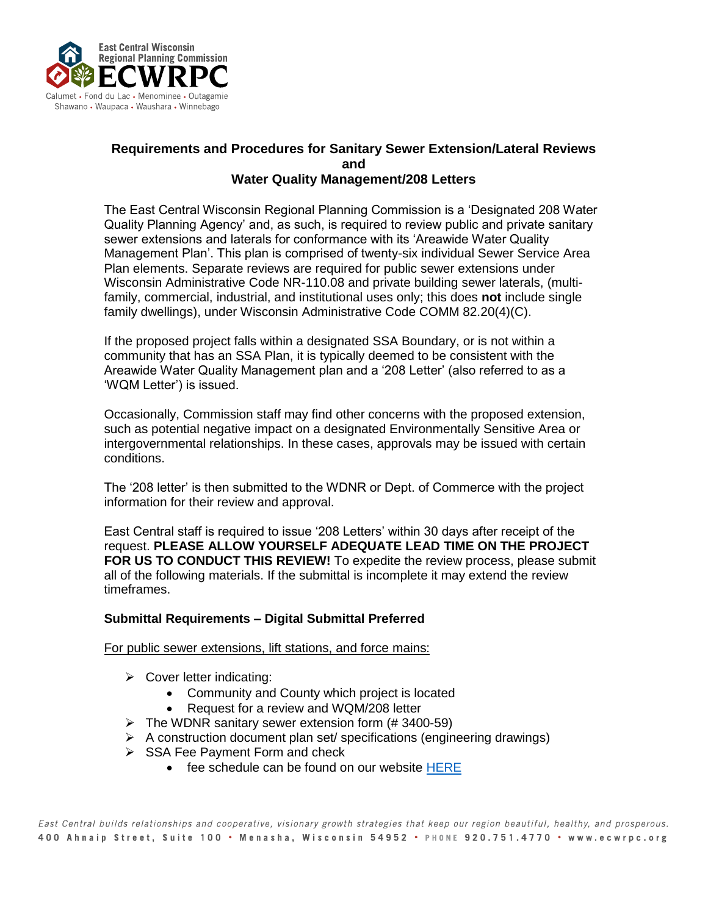

## **Requirements and Procedures for Sanitary Sewer Extension/Lateral Reviews and Water Quality Management/208 Letters**

The East Central Wisconsin Regional Planning Commission is a 'Designated 208 Water Quality Planning Agency' and, as such, is required to review public and private sanitary sewer extensions and laterals for conformance with its 'Areawide Water Quality Management Plan'. This plan is comprised of twenty-six individual Sewer Service Area Plan elements. Separate reviews are required for public sewer extensions under Wisconsin Administrative Code NR-110.08 and private building sewer laterals, (multifamily, commercial, industrial, and institutional uses only; this does **not** include single family dwellings), under Wisconsin Administrative Code COMM 82.20(4)(C).

If the proposed project falls within a designated SSA Boundary, or is not within a community that has an SSA Plan, it is typically deemed to be consistent with the Areawide Water Quality Management plan and a '208 Letter' (also referred to as a 'WQM Letter') is issued.

Occasionally, Commission staff may find other concerns with the proposed extension, such as potential negative impact on a designated Environmentally Sensitive Area or intergovernmental relationships. In these cases, approvals may be issued with certain conditions.

The '208 letter' is then submitted to the WDNR or Dept. of Commerce with the project information for their review and approval.

East Central staff is required to issue '208 Letters' within 30 days after receipt of the request. **PLEASE ALLOW YOURSELF ADEQUATE LEAD TIME ON THE PROJECT FOR US TO CONDUCT THIS REVIEW!** To expedite the review process, please submit all of the following materials. If the submittal is incomplete it may extend the review timeframes.

## **Submittal Requirements – Digital Submittal Preferred**

For public sewer extensions, lift stations, and force mains:

- $\triangleright$  Cover letter indicating:
	- Community and County which project is located
	- Request for a review and WQM/208 letter
- $\triangleright$  The WDNR sanitary sewer extension form (#3400-59)
- ➢ A construction document plan set/ specifications (engineering drawings)
- ➢ SSA Fee Payment Form and check
	- fee schedule can be found on our website [HERE](https://www.ecwrpc.org/programs/community-facilities/ssa/)